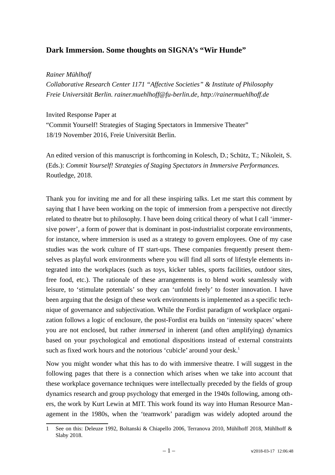# **Dark Immersion. Some thoughts on SIGNA's "Wir Hunde"**

# *Rainer Mühlhoff*

*Collaborative Research Center 1171 "Affective Societies" & Institute of Philosophy Freie Universität Berlin. rainer.muehlhoff@fu-berlin.de, http://rainermuehlhoff.de*

### Invited Response Paper at

"Commit Yourself! Strategies of Staging Spectators in Immersive Theater" 18/19 November 2016, Freie Universität Berlin.

An edited version of this manuscript is forthcoming in Kolesch, D.; Schütz, T.; Nikoleit, S. (Eds.): *Commit Yourself! Strategies of Staging Spectators in Immersive Performances.* Routledge, 2018.

Thank you for inviting me and for all these inspiring talks. Let me start this comment by saying that I have been working on the topic of immersion from a perspective not directly related to theatre but to philosophy. I have been doing critical theory of what I call 'immersive power', a form of power that is dominant in post-industrialist corporate environments, for instance, where immersion is used as a strategy to govern employees. One of my case studies was the work culture of IT start-ups. These companies frequently present themselves as playful work environments where you will find all sorts of lifestyle elements integrated into the workplaces (such as toys, kicker tables, sports facilities, outdoor sites, free food, etc.). The rationale of these arrangements is to blend work seamlessly with leisure, to 'stimulate potentials' so they can 'unfold freely' to foster innovation. I have been arguing that the design of these work environments is implemented as a specific technique of governance and subjectivation. While the Fordist paradigm of workplace organization follows a logic of enclosure, the post-Fordist era builds on 'intensity spaces' where you are not enclosed, but rather *immersed* in inherent (and often amplifying) dynamics based on your psychological and emotional dispositions instead of external constraints such as fixed work hours and the notorious 'cubicle' around your desk.<sup>[1](#page-0-0)</sup>

Now you might wonder what this has to do with immersive theatre. I will suggest in the following pages that there is a connection which arises when we take into account that these workplace governance techniques were intellectually preceded by the fields of group dynamics research and group psychology that emerged in the 1940s following, among others, the work by Kurt Lewin at MIT. This work found its way into Human Resource Management in the 1980s, when the 'teamwork' paradigm was widely adopted around the

<span id="page-0-0"></span><sup>1</sup> See on this: Deleuze 1992, Boltanski & Chiapello 2006, Terranova 2010, Mühlhoff 2018, Mühlhoff & Slaby 2018.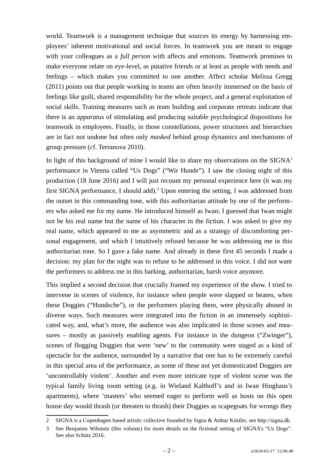world. Teamwork is a management technique that sources its energy by harnessing employees' inherent motivational and social forces. In teamwork you are meant to engage with your colleagues as a *full person* with affects and emotions. Teamwork promises to make everyone relate on eye-level, as putative friends or at least as people with needs and feelings – which makes you committed to one another. Affect scholar Melissa Gregg (2011) points out that people working in teams are often heavily immersed on the basis of feelings like guilt, shared responsibility for the whole project, and a general exploitation of social skills. Training measures such as team building and corporate retreats indicate that there is an *apparatus* of stimulating and producing suitable psychological dispositions for teamwork in employees. Finally, in those constellations, power structures and hierarchies are in fact not undone but often only *masked* behind group dynamics and mechanisms of group pressure (cf. Terranova 2010).

In light of this background of mine I would like to share my observations on the  $SISNA<sup>2</sup>$  $SISNA<sup>2</sup>$  $SISNA<sup>2</sup>$ performance in Vienna called "Us Dogs" ("Wir Hunde"). I saw the closing night of this production (18 June 2016) and I will just recount my personal experience here (it was my first SIGNA performance, I should add).<sup>[3](#page-1-1)</sup> Upon entering the setting, I was addressed from the outset in this commanding tone, with this authoritarian attitude by one of the performers who asked me for my name. He introduced himself as Iwan; I guessed that Iwan might not be his real name but the name of his character in the fiction. I was asked to give my real name, which appeared to me as asymmetric and as a strategy of discomforting personal engagement, and which I intuitively refused because he was addressing me in this authoritarian tone. So I gave a fake name. And already in these first 45 seconds I made a decision: my plan for the night was to refuse to be addressed in this voice. I did not want the performers to address me in this barking, authoritarian, harsh voice anymore.

This implied a second decision that crucially framed my experience of the show. I tried to intervene in scenes of violence, for instance when people were slapped or beaten, when these Doggies ("Hundsche"), or the performers playing them, were physically abused in diverse ways. Such measures were integrated into the fiction in an immensely sophisticated way, and, what's more, the audience was also implicated in those scenes and measures – mostly as passively enabling agents. For instance in the dungeon ("Zwinger"), scenes of flogging Doggies that were 'new' to the community were staged as a kind of spectacle for the audience, surrounded by a narrative that one has to be extremely careful in this special area of the performance, as some of these not yet domesticated Doggies are 'uncontrollably violent'. Another and even more intricate type of violent scene was the typical family living room setting (e.g. in Wieland Kalthoff's and in Iwan Hinghaus's apartments), where 'masters' who seemed eager to perform well as hosts on this open house day would thrash (or threaten to thrash) their Doggies as scapegoats for wrongs they

<span id="page-1-0"></span><sup>2</sup> SIGNA is a Copenhagen based artistic collective founded by Signa & Arthur Köstler, see http://signa.dk.

<span id="page-1-1"></span><sup>3</sup> See Benjamin Wihstutz (this volume) for more details on the fictional setting of SIGNA's "Us Dogs". See also Schütz 2016.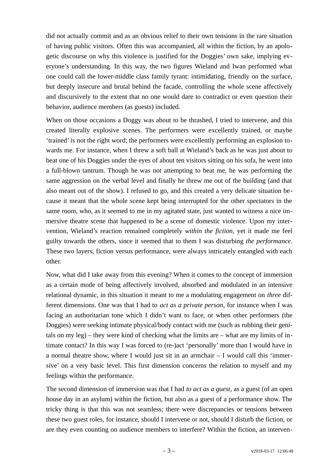did not actually commit and as an obvious relief to their own tensions in the rare situation of having public visitors. Often this was accompanied, all within the fiction, by an apologetic discourse on why this violence is justified for the Doggies' own sake, implying everyone's understanding. In this way, the two figures Wieland and Iwan performed what one could call the lower-middle class family tyrant: intimidating, friendly on the surface, but deeply insecure and brutal behind the facade, controlling the whole scene affectively and discursively to the extent that no one would dare to contradict or even question their behavior, audience members (as guests) included.

When on those occasions a Doggy was about to be thrashed, I tried to intervene, and this created literally explosive scenes. The performers were excellently trained, or maybe 'trained' is not the right word; the performers were excellently performing an explosion towards me. For instance, when I threw a soft ball at Wieland's back as he was just about to beat one of his Doggies under the eyes of about ten visitors sitting on his sofa, he went into a full-blown tantrum. Though he was not attempting to beat me, he was performing the same aggression on the verbal level and finally he threw me out of the building (and that also meant out of the show). I refused to go, and this created a very delicate situation because it meant that the whole scene kept being interrupted for the other spectators in the same room, who, as it seemed to me in my agitated state, just wanted to witness a nice immersive theatre scene that happened to be a scene of domestic violence. Upon my intervention, Wieland's reaction remained completely *within the fiction,* yet it made me feel guilty towards the others, since it seemed that to them I was disturbing *the performance*. These two layers, fiction versus performance, were always intricately entangled with each other.

Now, what did I take away from this evening? When it comes to the concept of immersion as a certain mode of being affectively involved, absorbed and modulated in an intensive relational dynamic, in this situation it meant to me a modulating engagement on *three* different dimensions. One was that I had to *act as a private person*, for instance when I was facing an authoritarian tone which I didn't want to face, or when other performers (the Doggies) were seeking intimate physical/body contact with me (such as rubbing their genitals on my leg) – they were kind of checking what the limits are – what are my limits of intimate contact? In this way I was forced to (re-)act 'personally' more than I would have in a normal theatre show, where I would just sit in an armchair – I would call this 'immersive' on a very basic level. This first dimension concerns the relation to myself and my feelings within the performance.

The second dimension of immersion was that I had *to act as a guest*, as a guest (of an open house day in an asylum) within the fiction, but also as a guest of a performance show. The tricky thing is that this was not seamless; there were discrepancies or tensions between these two guest roles, for instance, should I intervene or not, should I disturb the fiction, or are they even counting on audience members to interfere? Within the fiction, an interven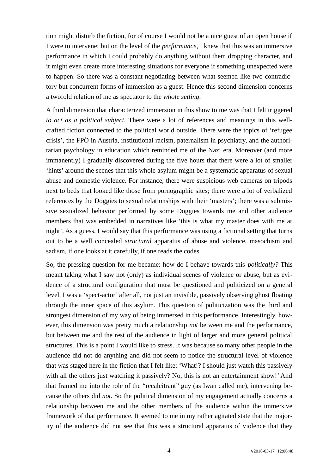tion might disturb the fiction, for of course I would not be a nice guest of an open house if I were to intervene; but on the level of the *performance,* I knew that this was an immersive performance in which I could probably do anything without them dropping character, and it might even create more interesting situations for everyone if something unexpected were to happen. So there was a constant negotiating between what seemed like two contradictory but concurrent forms of immersion as a guest. Hence this second dimension concerns a twofold relation of me as spectator to the *whole setting*.

A third dimension that characterized immersion in this show to me was that I felt triggered *to act as a political subject.* There were a lot of references and meanings in this wellcrafted fiction connected to the political world outside. There were the topics of 'refugee crisis', the FPÖ in Austria, institutional racism, paternalism in psychiatry, and the authoritarian psychology in education which reminded me of the Nazi era. Moreover (and more immanently) I gradually discovered during the five hours that there were a lot of smaller 'hints' around the scenes that this whole asylum might be a systematic apparatus of sexual abuse and domestic violence. For instance, there were suspicious web cameras on tripods next to beds that looked like those from pornographic sites; there were a lot of verbalized references by the Doggies to sexual relationships with their 'masters'; there was a submissive sexualized behavior performed by some Doggies towards me and other audience members that was embedded in narratives like 'this is what my master does with me at night'. As a guess, I would say that this performance was using a fictional setting that turns out to be a well concealed *structural* apparatus of abuse and violence, masochism and sadism, if one looks at it carefully, if one reads the codes.

So, the pressing question for me became: how do I behave towards this *politically?* This meant taking what I saw not (only) as individual scenes of violence or abuse, but as evidence of a structural configuration that must be questioned and politicized on a general level. I was a 'spect-actor' after all, not just an invisible, passively observing ghost floating through the inner space of this asylum. This question of politicization was the third and strongest dimension of my way of being immersed in this performance. Interestingly, however, this dimension was pretty much a relationship *not* between me and the performance, but between me and the rest of the audience in light of larger and more general political structures. This is a point I would like to stress. It was because so many other people in the audience did not do anything and did not seem to notice the structural level of violence that was staged here in the fiction that I felt like: 'What!? I should just watch this passively with all the others just watching it passively? No, this is not an entertainment show!' And that framed me into the role of the "recalcitrant" guy (as Iwan called me), intervening because the others did *not*. So the political dimension of my engagement actually concerns a relationship between me and the other members of the audience within the immersive framework of that performance. It seemed to me in my rather agitated state that the majority of the audience did not see that this was a structural apparatus of violence that they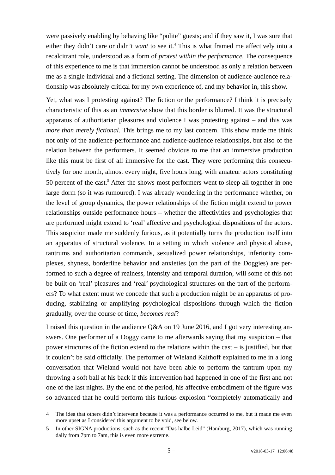were passively enabling by behaving like "polite" guests; and if they saw it, I was sure that either they didn't care or didn't want to see it.<sup>[4](#page-4-0)</sup> This is what framed me affectively into a recalcitrant role, understood as a form of *protest within the performance.* The consequence of this experience to me is that immersion cannot be understood as only a relation between me as a single individual and a fictional setting. The dimension of audience-audience relationship was absolutely critical for my own experience of, and my behavior in, this show.

Yet, what was I protesting against? The fiction or the performance? I think it is precisely characteristic of this as an *immersive* show that this border is blurred. It was the structural apparatus of authoritarian pleasures and violence I was protesting against – and this was *more than merely fictional*. This brings me to my last concern. This show made me think not only of the audience-performance and audience-audience relationships, but also of the relation between the performers. It seemed obvious to me that an immersive production like this must be first of all immersive for the cast. They were performing this consecutively for one month, almost every night, five hours long, with amateur actors constituting [5](#page-4-1)0 percent of the cast.<sup>5</sup> After the shows most performers went to sleep all together in one large dorm (so it was rumoured). I was already wondering in the performance whether, on the level of group dynamics, the power relationships of the fiction might extend to power relationships outside performance hours – whether the affectivities and psychologies that are performed might extend to 'real' affective and psychological dispositions of the actors. This suspicion made me suddenly furious, as it potentially turns the production itself into an apparatus of structural violence. In a setting in which violence and physical abuse, tantrums and authoritarian commands, sexualized power relationships, inferiority complexes, shyness, borderline behavior and anxieties (on the part of the Doggies) are performed to such a degree of realness, intensity and temporal duration, will some of this not be built on 'real' pleasures and 'real' psychological structures on the part of the performers? To what extent must we concede that such a production might be an apparatus of producing, stabilizing or amplifying psychological dispositions through which the fiction gradually, over the course of time, *becomes real*?

I raised this question in the audience Q&A on 19 June 2016, and I got very interesting answers. One performer of a Doggy came to me afterwards saying that my suspicion – that power structures of the fiction extend to the relations within the cast – is justified, but that it couldn't be said officially. The performer of Wieland Kalthoff explained to me in a long conversation that Wieland would not have been able to perform the tantrum upon my throwing a soft ball at his back if this intervention had happened in one of the first and not one of the last nights. By the end of the period, his affective embodiment of the figure was so advanced that he could perform this furious explosion "completely automatically and

<span id="page-4-0"></span><sup>4</sup> The idea that others didn't intervene because it was a performance occurred to me, but it made me even more upset as I considered this argument to be void, see below.

<span id="page-4-1"></span><sup>5</sup> In other SIGNA productions, such as the recent "Das halbe Leid" (Hamburg, 2017), which was running daily from 7pm to 7am, this is even more extreme.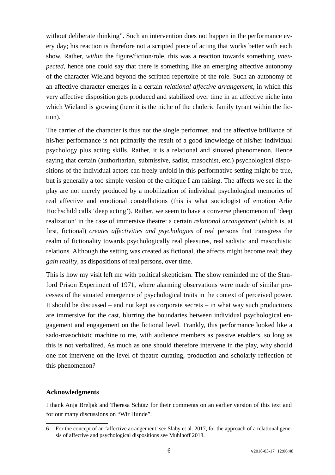without deliberate thinking". Such an intervention does not happen in the performance every day; his reaction is therefore not a scripted piece of acting that works better with each show. Rather, *within* the figure/fiction/role, this was a reaction towards something *unexpected*, hence one could say that there is something like an emerging affective autonomy of the character Wieland beyond the scripted repertoire of the role. Such an autonomy of an affective character emerges in a certain *relational affective arrangement*, in which this very affective disposition gets produced and stabilized over time in an affective niche into which Wieland is growing (here it is the niche of the choleric family tyrant within the fiction).*[6](#page-5-0)*

The carrier of the character is thus not the single performer, and the affective brilliance of his/her performance is not primarily the result of a good knowledge of his/her individual psychology plus acting skills. Rather, it is a relational and situated phenomenon. Hence saying that certain (authoritarian, submissive, sadist, masochist, etc.) psychological dispositions of the individual actors can freely unfold in this performative setting might be true, but is generally a too simple version of the critique I am raising. The affects we see in the play are not merely produced by a mobilization of individual psychological memories of real affective and emotional constellations (this is what sociologist of emotion Arlie Hochschild calls 'deep acting'). Rather, we seem to have a converse phenomenon of 'deep realization' in the case of immersive theatre: a certain *relational arrangement* (which is, at first, fictional) *creates affectivities and psychologies* of real persons that transgress the realm of fictionality towards psychologically real pleasures, real sadistic and masochistic relations. Although the setting was created as fictional, the affects might become real; they *gain reality*, as dispositions of real persons, over time.

This is how my visit left me with political skepticism. The show reminded me of the Stanford Prison Experiment of 1971, where alarming observations were made of similar processes of the situated emergence of psychological traits in the context of perceived power. It should be discussed – and not kept as corporate secrets – in what way such productions are immersive for the cast, blurring the boundaries between individual psychological engagement and engagement on the fictional level. Frankly, this performance looked like a sado-masochistic machine to me, with audience members as passive enablers, so long as this is not verbalized. As much as one should therefore intervene in the play, why should one not intervene on the level of theatre curating, production and scholarly reflection of this phenomenon?

# **Acknowledgments**

I thank Anja Breljak and Theresa Schütz for their comments on an earlier version of this text and for our many discussions on "Wir Hunde".

<span id="page-5-0"></span><sup>6</sup> For the concept of an 'affective arrangement' see Slaby et al. 2017, for the approach of a relational genesis of affective and psychological dispositions see Mühlhoff 2018.